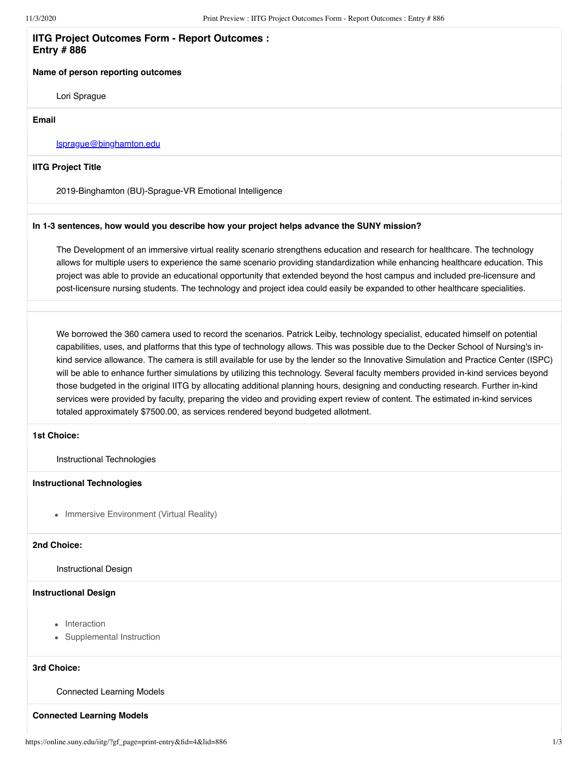## **IITG Project Outcomes Form - Report Outcomes : Entry # 886**

### **Name of person reporting outcomes**

Lori Sprague

#### **Email**

### [lsprague@binghamton.edu](mailto:lsprague@binghamton.edu)

### **IITG Project Title**

2019-Binghamton (BU)-Sprague-VR Emotional Intelligence

### **In 1-3 sentences, how would you describe how your project helps advance the SUNY mission?**

The Development of an immersive virtual reality scenario strengthens education and research for healthcare. The technology allows for multiple users to experience the same scenario providing standardization while enhancing healthcare education. This project was able to provide an educational opportunity that extended beyond the host campus and included pre-licensure and post-licensure nursing students. The technology and project idea could easily be expanded to other healthcare specialities.

We borrowed the 360 camera used to record the scenarios. Patrick Leiby, technology specialist, educated himself on potential capabilities, uses, and platforms that this type of technology allows. This was possible due to the Decker School of Nursing's inkind service allowance. The camera is still available for use by the lender so the Innovative Simulation and Practice Center (ISPC) will be able to enhance further simulations by utilizing this technology. Several faculty members provided in-kind services beyond those budgeted in the original IITG by allocating additional planning hours, designing and conducting research. Further in-kind services were provided by faculty, preparing the video and providing expert review of content. The estimated in-kind services totaled approximately \$7500.00, as services rendered beyond budgeted allotment.

# **1st Choice:**

Instructional Technologies

#### **Instructional Technologies**

• Immersive Environment (Virtual Reality)

### **2nd Choice:**

Instructional Design

### **Instructional Design**

- Interaction
- Supplemental Instruction

# **3rd Choice:**

### Connected Learning Models

## **Connected Learning Models**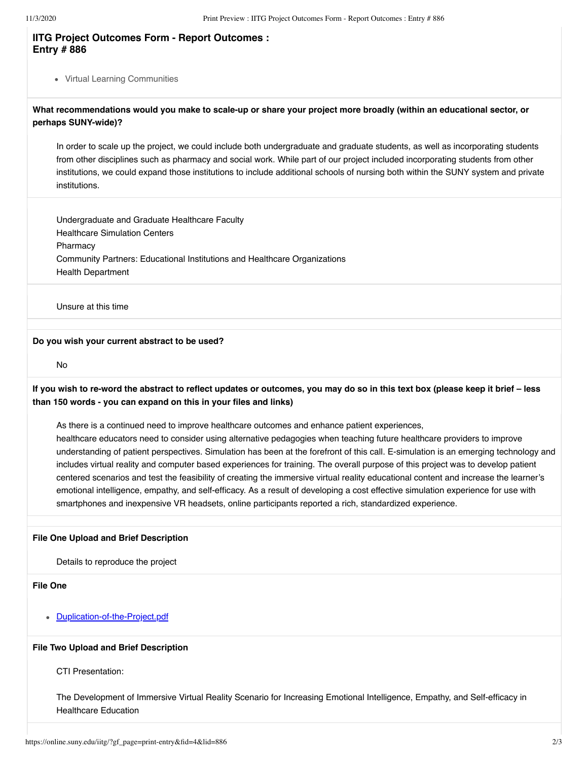# **IITG Project Outcomes Form - Report Outcomes : Entry # 886**

Virtual Learning Communities

# **What recommendations would you make to scale-up or share your project more broadly (within an educational sector, or perhaps SUNY-wide)?**

In order to scale up the project, we could include both undergraduate and graduate students, as well as incorporating students from other disciplines such as pharmacy and social work. While part of our project included incorporating students from other institutions, we could expand those institutions to include additional schools of nursing both within the SUNY system and private institutions.

Undergraduate and Graduate Healthcare Faculty Healthcare Simulation Centers Pharmacy Community Partners: Educational Institutions and Healthcare Organizations Health Department

Unsure at this time

#### **Do you wish your current abstract to be used?**

No

**If you wish to re-word the abstract to reflect updates or outcomes, you may do so in this text box (please keep it brief – less than 150 words - you can expand on this in your files and links)**

As there is a continued need to improve healthcare outcomes and enhance patient experiences, healthcare educators need to consider using alternative pedagogies when teaching future healthcare providers to improve understanding of patient perspectives. Simulation has been at the forefront of this call. E-simulation is an emerging technology and includes virtual reality and computer based experiences for training. The overall purpose of this project was to develop patient centered scenarios and test the feasibility of creating the immersive virtual reality educational content and increase the learner's emotional intelligence, empathy, and self-efficacy. As a result of developing a cost effective simulation experience for use with smartphones and inexpensive VR headsets, online participants reported a rich, standardized experience.

### **File One Upload and Brief Description**

Details to reproduce the project

**File One**

[Duplication-of-the-Project.pdf](https://online.suny.edu/iitg/index.php?gf-download=2020%2F08%2FDuplication-of-the-Project.pdf&form-id=4&field-id=12&hash=48da9f9470fe38b72e72b8fca3c3edae803be3d2eb476f2a710752a35b3bab3c)

### **File Two Upload and Brief Description**

CTI Presentation:

The Development of Immersive Virtual Reality Scenario for Increasing Emotional Intelligence, Empathy, and Self-efficacy in Healthcare Education